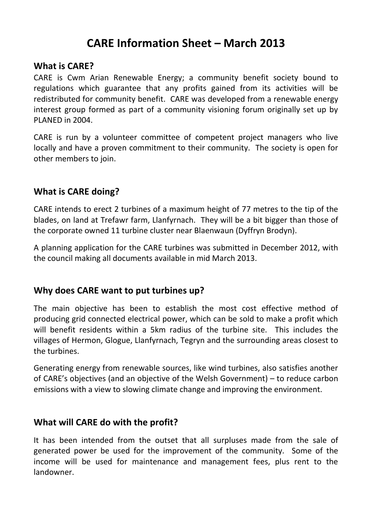# **CARE Information Sheet – March 2013**

#### **What is CARE?**

CARE is Cwm Arian Renewable Energy; a community benefit society bound to regulations which guarantee that any profits gained from its activities will be redistributed for community benefit. CARE was developed from a renewable energy interest group formed as part of a community visioning forum originally set up by PLANED in 2004.

CARE is run by a volunteer committee of competent project managers who live locally and have a proven commitment to their community. The society is open for other members to join.

### **What is CARE doing?**

CARE intends to erect 2 turbines of a maximum height of 77 metres to the tip of the blades, on land at Trefawr farm, Llanfyrnach. They will be a bit bigger than those of the corporate owned 11 turbine cluster near Blaenwaun (Dyffryn Brodyn).

A planning application for the CARE turbines was submitted in December 2012, with the council making all documents available in mid March 2013.

### **Why does CARE want to put turbines up?**

The main objective has been to establish the most cost effective method of producing grid connected electrical power, which can be sold to make a profit which will benefit residents within a 5km radius of the turbine site. This includes the villages of Hermon, Glogue, Llanfyrnach, Tegryn and the surrounding areas closest to the turbines.

Generating energy from renewable sources, like wind turbines, also satisfies another of CARE's objectives (and an objective of the Welsh Government) – to reduce carbon emissions with a view to slowing climate change and improving the environment.

### **What will CARE do with the profit?**

It has been intended from the outset that all surpluses made from the sale of generated power be used for the improvement of the community. Some of the income will be used for maintenance and management fees, plus rent to the landowner.